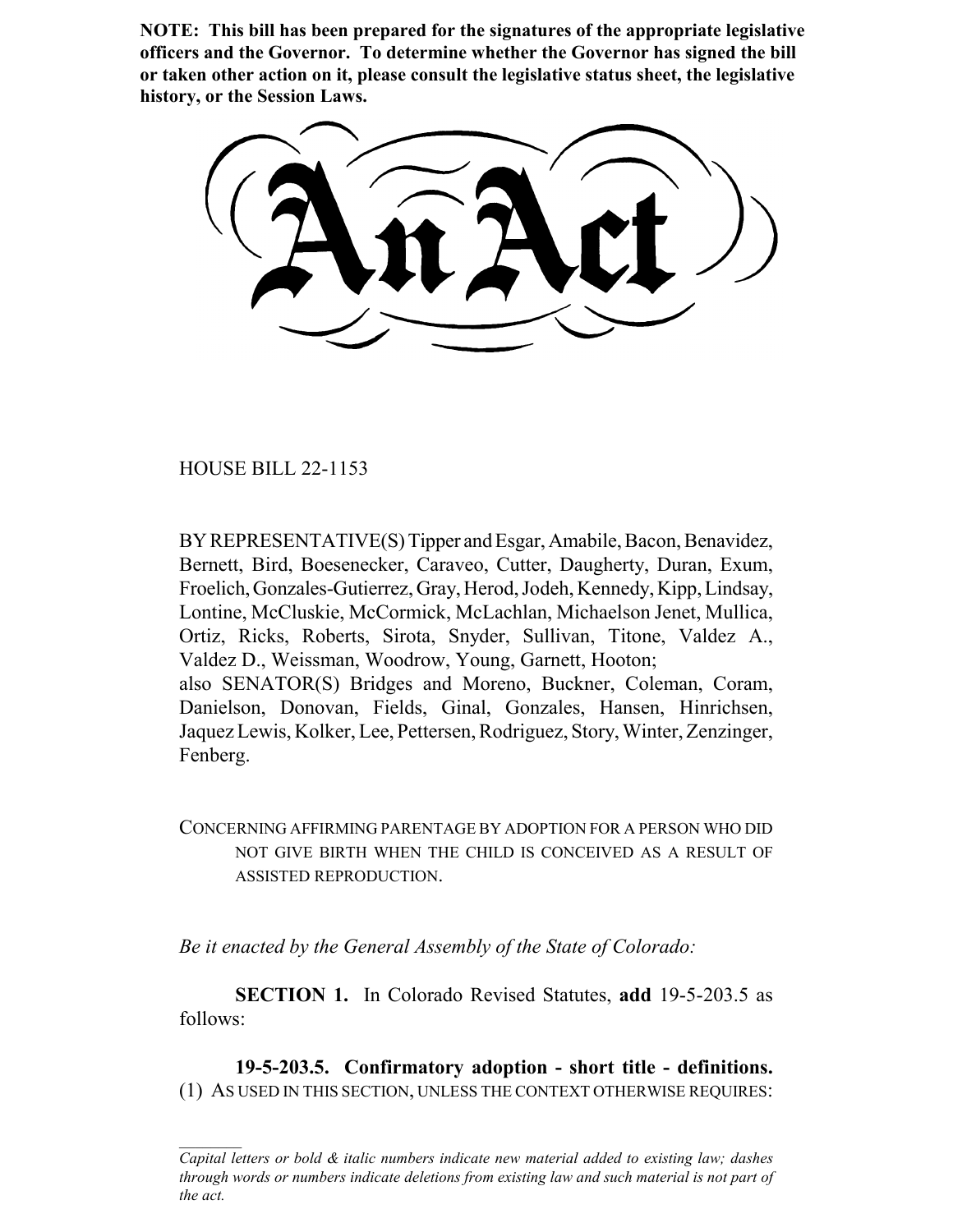**NOTE: This bill has been prepared for the signatures of the appropriate legislative officers and the Governor. To determine whether the Governor has signed the bill or taken other action on it, please consult the legislative status sheet, the legislative history, or the Session Laws.**

HOUSE BILL 22-1153

BY REPRESENTATIVE(S) Tipper and Esgar, Amabile, Bacon, Benavidez, Bernett, Bird, Boesenecker, Caraveo, Cutter, Daugherty, Duran, Exum, Froelich, Gonzales-Gutierrez, Gray, Herod, Jodeh, Kennedy, Kipp, Lindsay, Lontine, McCluskie, McCormick, McLachlan, Michaelson Jenet, Mullica, Ortiz, Ricks, Roberts, Sirota, Snyder, Sullivan, Titone, Valdez A., Valdez D., Weissman, Woodrow, Young, Garnett, Hooton; also SENATOR(S) Bridges and Moreno, Buckner, Coleman, Coram, Danielson, Donovan, Fields, Ginal, Gonzales, Hansen, Hinrichsen, Jaquez Lewis, Kolker, Lee, Pettersen, Rodriguez, Story, Winter, Zenzinger, Fenberg.

CONCERNING AFFIRMING PARENTAGE BY ADOPTION FOR A PERSON WHO DID NOT GIVE BIRTH WHEN THE CHILD IS CONCEIVED AS A RESULT OF ASSISTED REPRODUCTION.

*Be it enacted by the General Assembly of the State of Colorado:*

**SECTION 1.** In Colorado Revised Statutes, **add** 19-5-203.5 as follows:

**19-5-203.5. Confirmatory adoption - short title - definitions.** (1) AS USED IN THIS SECTION, UNLESS THE CONTEXT OTHERWISE REQUIRES:

*Capital letters or bold & italic numbers indicate new material added to existing law; dashes through words or numbers indicate deletions from existing law and such material is not part of the act.*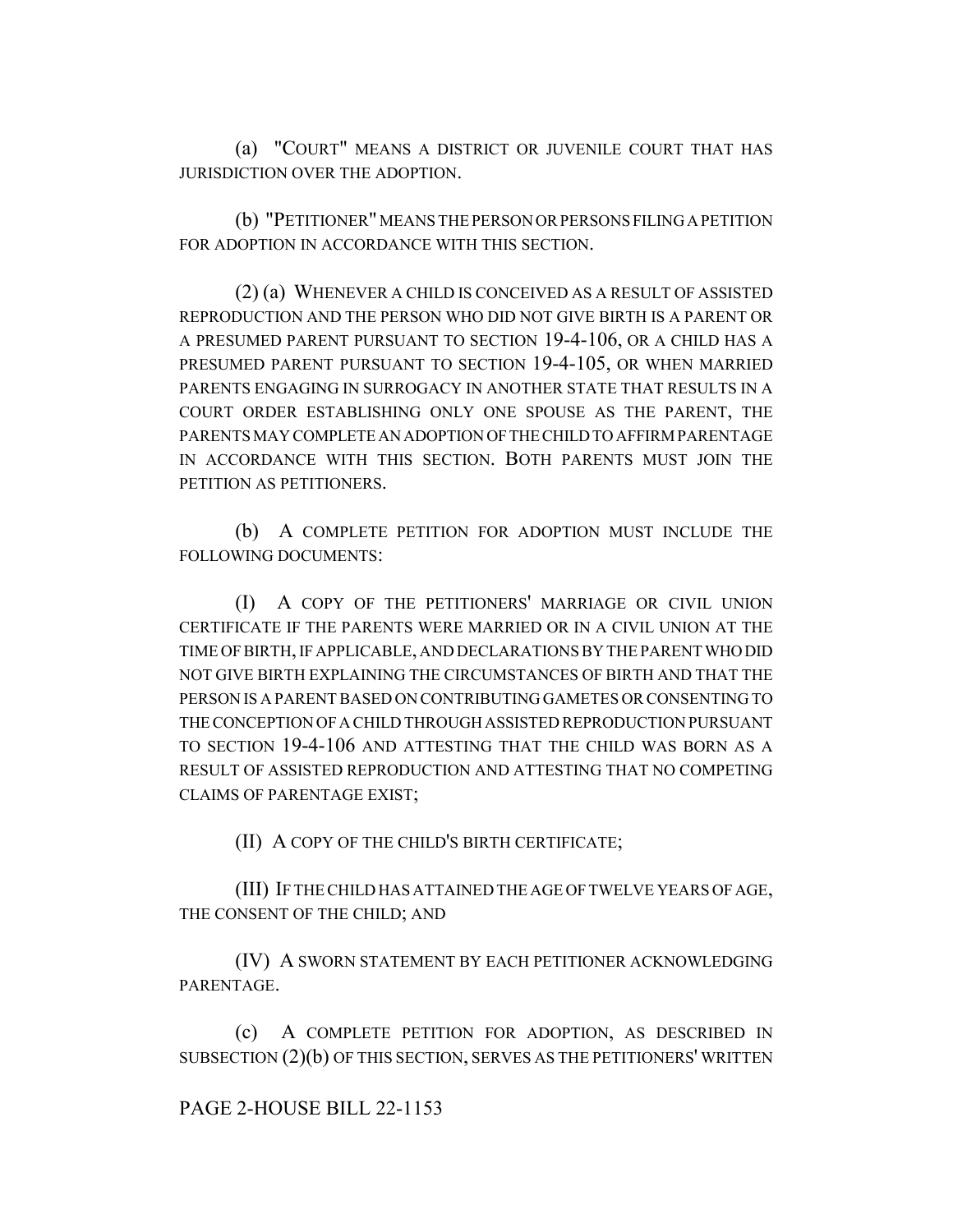(a) "COURT" MEANS A DISTRICT OR JUVENILE COURT THAT HAS JURISDICTION OVER THE ADOPTION.

(b) "PETITIONER" MEANS THE PERSON OR PERSONS FILING A PETITION FOR ADOPTION IN ACCORDANCE WITH THIS SECTION.

(2) (a) WHENEVER A CHILD IS CONCEIVED AS A RESULT OF ASSISTED REPRODUCTION AND THE PERSON WHO DID NOT GIVE BIRTH IS A PARENT OR A PRESUMED PARENT PURSUANT TO SECTION 19-4-106, OR A CHILD HAS A PRESUMED PARENT PURSUANT TO SECTION 19-4-105, OR WHEN MARRIED PARENTS ENGAGING IN SURROGACY IN ANOTHER STATE THAT RESULTS IN A COURT ORDER ESTABLISHING ONLY ONE SPOUSE AS THE PARENT, THE PARENTS MAY COMPLETE AN ADOPTION OF THE CHILD TO AFFIRM PARENTAGE IN ACCORDANCE WITH THIS SECTION. BOTH PARENTS MUST JOIN THE PETITION AS PETITIONERS.

(b) A COMPLETE PETITION FOR ADOPTION MUST INCLUDE THE FOLLOWING DOCUMENTS:

(I) A COPY OF THE PETITIONERS' MARRIAGE OR CIVIL UNION CERTIFICATE IF THE PARENTS WERE MARRIED OR IN A CIVIL UNION AT THE TIME OF BIRTH, IF APPLICABLE, AND DECLARATIONS BY THE PARENT WHO DID NOT GIVE BIRTH EXPLAINING THE CIRCUMSTANCES OF BIRTH AND THAT THE PERSON IS A PARENT BASED ON CONTRIBUTING GAMETES OR CONSENTING TO THE CONCEPTION OF A CHILD THROUGH ASSISTED REPRODUCTION PURSUANT TO SECTION 19-4-106 AND ATTESTING THAT THE CHILD WAS BORN AS A RESULT OF ASSISTED REPRODUCTION AND ATTESTING THAT NO COMPETING CLAIMS OF PARENTAGE EXIST;

(II) A COPY OF THE CHILD'S BIRTH CERTIFICATE;

(III) IF THE CHILD HAS ATTAINED THE AGE OF TWELVE YEARS OF AGE, THE CONSENT OF THE CHILD; AND

(IV) A SWORN STATEMENT BY EACH PETITIONER ACKNOWLEDGING PARENTAGE.

(c) A COMPLETE PETITION FOR ADOPTION, AS DESCRIBED IN SUBSECTION (2)(b) OF THIS SECTION, SERVES AS THE PETITIONERS' WRITTEN

## PAGE 2-HOUSE BILL 22-1153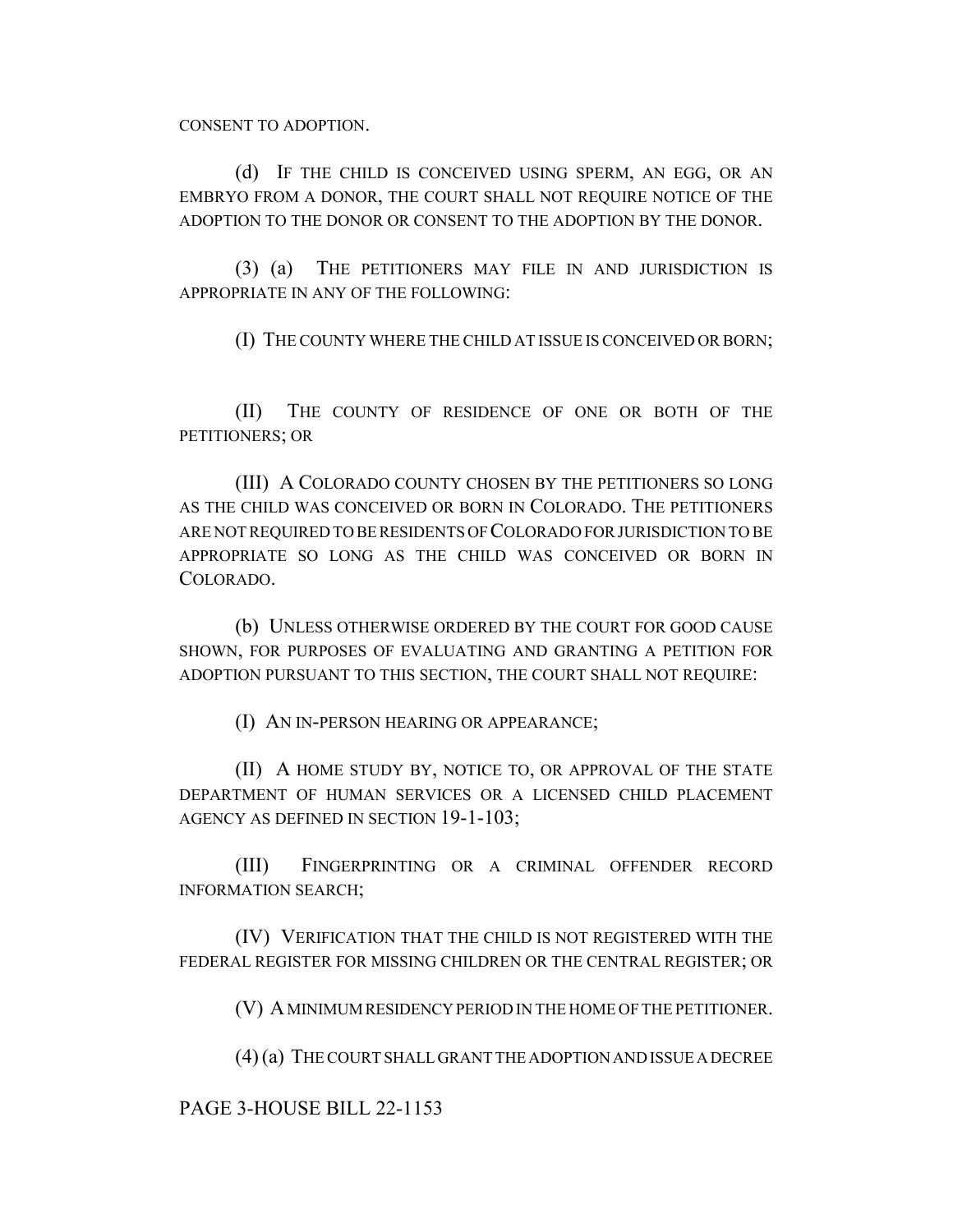CONSENT TO ADOPTION.

(d) IF THE CHILD IS CONCEIVED USING SPERM, AN EGG, OR AN EMBRYO FROM A DONOR, THE COURT SHALL NOT REQUIRE NOTICE OF THE ADOPTION TO THE DONOR OR CONSENT TO THE ADOPTION BY THE DONOR.

(3) (a) THE PETITIONERS MAY FILE IN AND JURISDICTION IS APPROPRIATE IN ANY OF THE FOLLOWING:

(I) THE COUNTY WHERE THE CHILD AT ISSUE IS CONCEIVED OR BORN;

(II) THE COUNTY OF RESIDENCE OF ONE OR BOTH OF THE PETITIONERS; OR

(III) A COLORADO COUNTY CHOSEN BY THE PETITIONERS SO LONG AS THE CHILD WAS CONCEIVED OR BORN IN COLORADO. THE PETITIONERS ARE NOT REQUIRED TO BE RESIDENTS OF COLORADO FOR JURISDICTION TO BE APPROPRIATE SO LONG AS THE CHILD WAS CONCEIVED OR BORN IN COLORADO.

(b) UNLESS OTHERWISE ORDERED BY THE COURT FOR GOOD CAUSE SHOWN, FOR PURPOSES OF EVALUATING AND GRANTING A PETITION FOR ADOPTION PURSUANT TO THIS SECTION, THE COURT SHALL NOT REQUIRE:

(I) AN IN-PERSON HEARING OR APPEARANCE;

(II) A HOME STUDY BY, NOTICE TO, OR APPROVAL OF THE STATE DEPARTMENT OF HUMAN SERVICES OR A LICENSED CHILD PLACEMENT AGENCY AS DEFINED IN SECTION 19-1-103;

(III) FINGERPRINTING OR A CRIMINAL OFFENDER RECORD INFORMATION SEARCH;

(IV) VERIFICATION THAT THE CHILD IS NOT REGISTERED WITH THE FEDERAL REGISTER FOR MISSING CHILDREN OR THE CENTRAL REGISTER; OR

(V) A MINIMUM RESIDENCY PERIOD IN THE HOME OF THE PETITIONER.

(4) (a) THE COURT SHALL GRANT THE ADOPTION AND ISSUE A DECREE

### PAGE 3-HOUSE BILL 22-1153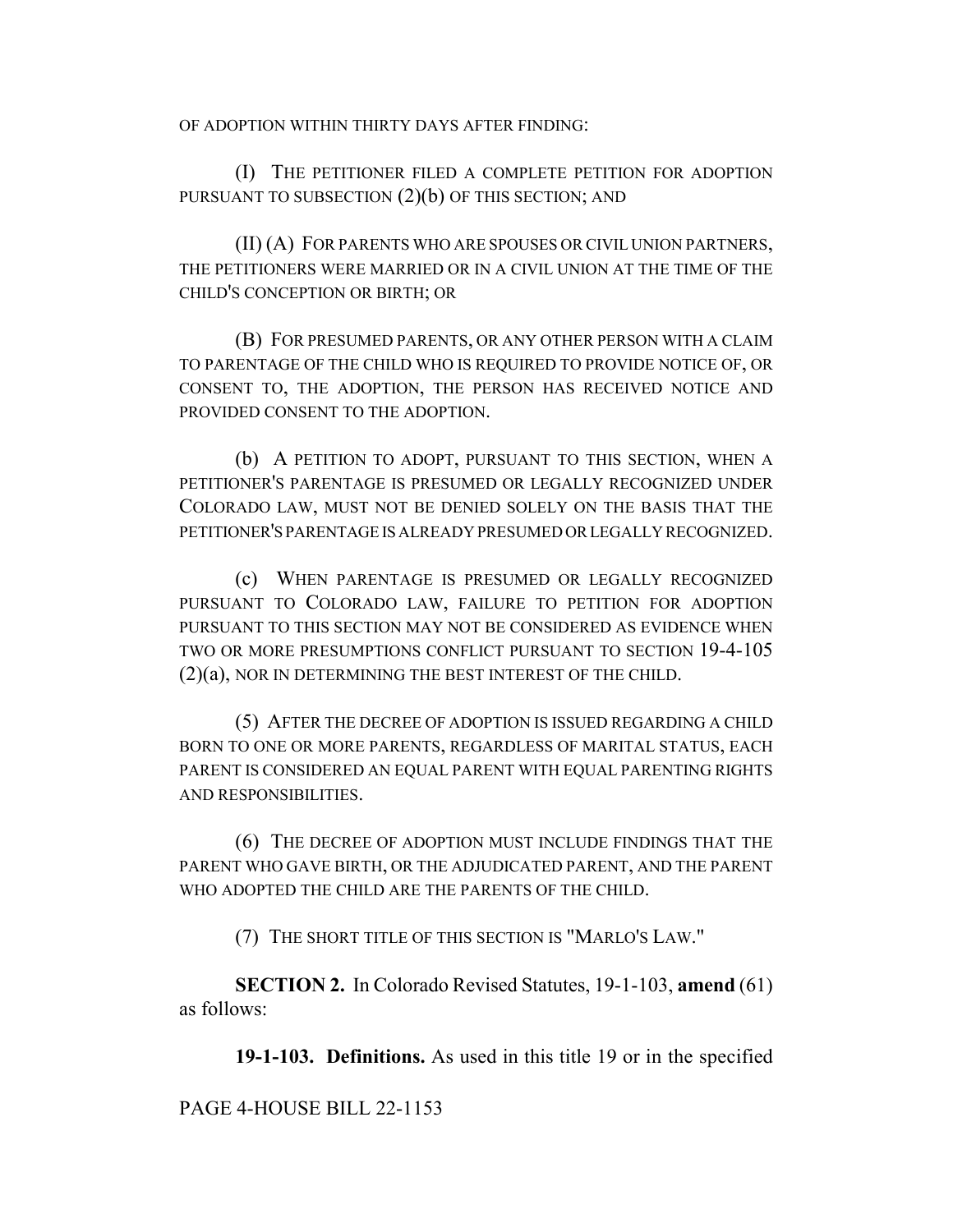OF ADOPTION WITHIN THIRTY DAYS AFTER FINDING:

(I) THE PETITIONER FILED A COMPLETE PETITION FOR ADOPTION PURSUANT TO SUBSECTION  $(2)(b)$  OF THIS SECTION; AND

(II) (A) FOR PARENTS WHO ARE SPOUSES OR CIVIL UNION PARTNERS, THE PETITIONERS WERE MARRIED OR IN A CIVIL UNION AT THE TIME OF THE CHILD'S CONCEPTION OR BIRTH; OR

(B) FOR PRESUMED PARENTS, OR ANY OTHER PERSON WITH A CLAIM TO PARENTAGE OF THE CHILD WHO IS REQUIRED TO PROVIDE NOTICE OF, OR CONSENT TO, THE ADOPTION, THE PERSON HAS RECEIVED NOTICE AND PROVIDED CONSENT TO THE ADOPTION.

(b) A PETITION TO ADOPT, PURSUANT TO THIS SECTION, WHEN A PETITIONER'S PARENTAGE IS PRESUMED OR LEGALLY RECOGNIZED UNDER COLORADO LAW, MUST NOT BE DENIED SOLELY ON THE BASIS THAT THE PETITIONER'S PARENTAGE IS ALREADY PRESUMED OR LEGALLY RECOGNIZED.

(c) WHEN PARENTAGE IS PRESUMED OR LEGALLY RECOGNIZED PURSUANT TO COLORADO LAW, FAILURE TO PETITION FOR ADOPTION PURSUANT TO THIS SECTION MAY NOT BE CONSIDERED AS EVIDENCE WHEN TWO OR MORE PRESUMPTIONS CONFLICT PURSUANT TO SECTION 19-4-105 (2)(a), NOR IN DETERMINING THE BEST INTEREST OF THE CHILD.

(5) AFTER THE DECREE OF ADOPTION IS ISSUED REGARDING A CHILD BORN TO ONE OR MORE PARENTS, REGARDLESS OF MARITAL STATUS, EACH PARENT IS CONSIDERED AN EQUAL PARENT WITH EQUAL PARENTING RIGHTS AND RESPONSIBILITIES.

(6) THE DECREE OF ADOPTION MUST INCLUDE FINDINGS THAT THE PARENT WHO GAVE BIRTH, OR THE ADJUDICATED PARENT, AND THE PARENT WHO ADOPTED THE CHILD ARE THE PARENTS OF THE CHILD.

(7) THE SHORT TITLE OF THIS SECTION IS "MARLO'S LAW."

**SECTION 2.** In Colorado Revised Statutes, 19-1-103, **amend** (61) as follows:

**19-1-103. Definitions.** As used in this title 19 or in the specified

PAGE 4-HOUSE BILL 22-1153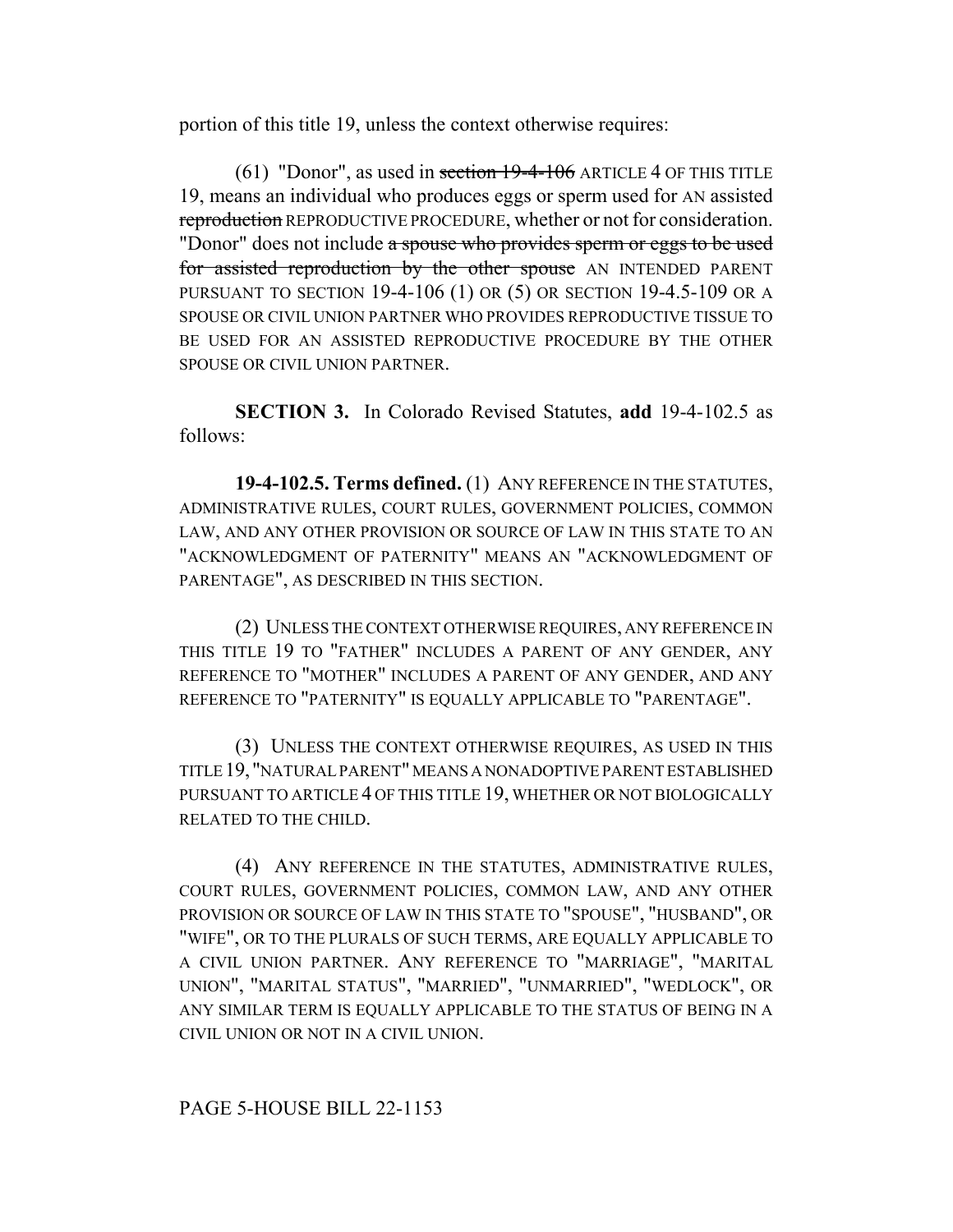portion of this title 19, unless the context otherwise requires:

 $(61)$  "Donor", as used in section  $19-4-106$  ARTICLE 4 OF THIS TITLE 19, means an individual who produces eggs or sperm used for AN assisted reproduction REPRODUCTIVE PROCEDURE, whether or not for consideration. "Donor" does not include a spouse who provides sperm or eggs to be used for assisted reproduction by the other spouse AN INTENDED PARENT PURSUANT TO SECTION 19-4-106 (1) OR (5) OR SECTION 19-4.5-109 OR A SPOUSE OR CIVIL UNION PARTNER WHO PROVIDES REPRODUCTIVE TISSUE TO BE USED FOR AN ASSISTED REPRODUCTIVE PROCEDURE BY THE OTHER SPOUSE OR CIVIL UNION PARTNER.

**SECTION 3.** In Colorado Revised Statutes, **add** 19-4-102.5 as follows:

**19-4-102.5. Terms defined.** (1) ANY REFERENCE IN THE STATUTES, ADMINISTRATIVE RULES, COURT RULES, GOVERNMENT POLICIES, COMMON LAW, AND ANY OTHER PROVISION OR SOURCE OF LAW IN THIS STATE TO AN "ACKNOWLEDGMENT OF PATERNITY" MEANS AN "ACKNOWLEDGMENT OF PARENTAGE", AS DESCRIBED IN THIS SECTION.

(2) UNLESS THE CONTEXT OTHERWISE REQUIRES, ANY REFERENCE IN THIS TITLE 19 TO "FATHER" INCLUDES A PARENT OF ANY GENDER, ANY REFERENCE TO "MOTHER" INCLUDES A PARENT OF ANY GENDER, AND ANY REFERENCE TO "PATERNITY" IS EQUALLY APPLICABLE TO "PARENTAGE".

(3) UNLESS THE CONTEXT OTHERWISE REQUIRES, AS USED IN THIS TITLE 19, "NATURAL PARENT" MEANS A NONADOPTIVE PARENT ESTABLISHED PURSUANT TO ARTICLE 4 OF THIS TITLE 19, WHETHER OR NOT BIOLOGICALLY RELATED TO THE CHILD.

(4) ANY REFERENCE IN THE STATUTES, ADMINISTRATIVE RULES, COURT RULES, GOVERNMENT POLICIES, COMMON LAW, AND ANY OTHER PROVISION OR SOURCE OF LAW IN THIS STATE TO "SPOUSE", "HUSBAND", OR "WIFE", OR TO THE PLURALS OF SUCH TERMS, ARE EQUALLY APPLICABLE TO A CIVIL UNION PARTNER. ANY REFERENCE TO "MARRIAGE", "MARITAL UNION", "MARITAL STATUS", "MARRIED", "UNMARRIED", "WEDLOCK", OR ANY SIMILAR TERM IS EQUALLY APPLICABLE TO THE STATUS OF BEING IN A CIVIL UNION OR NOT IN A CIVIL UNION.

# PAGE 5-HOUSE BILL 22-1153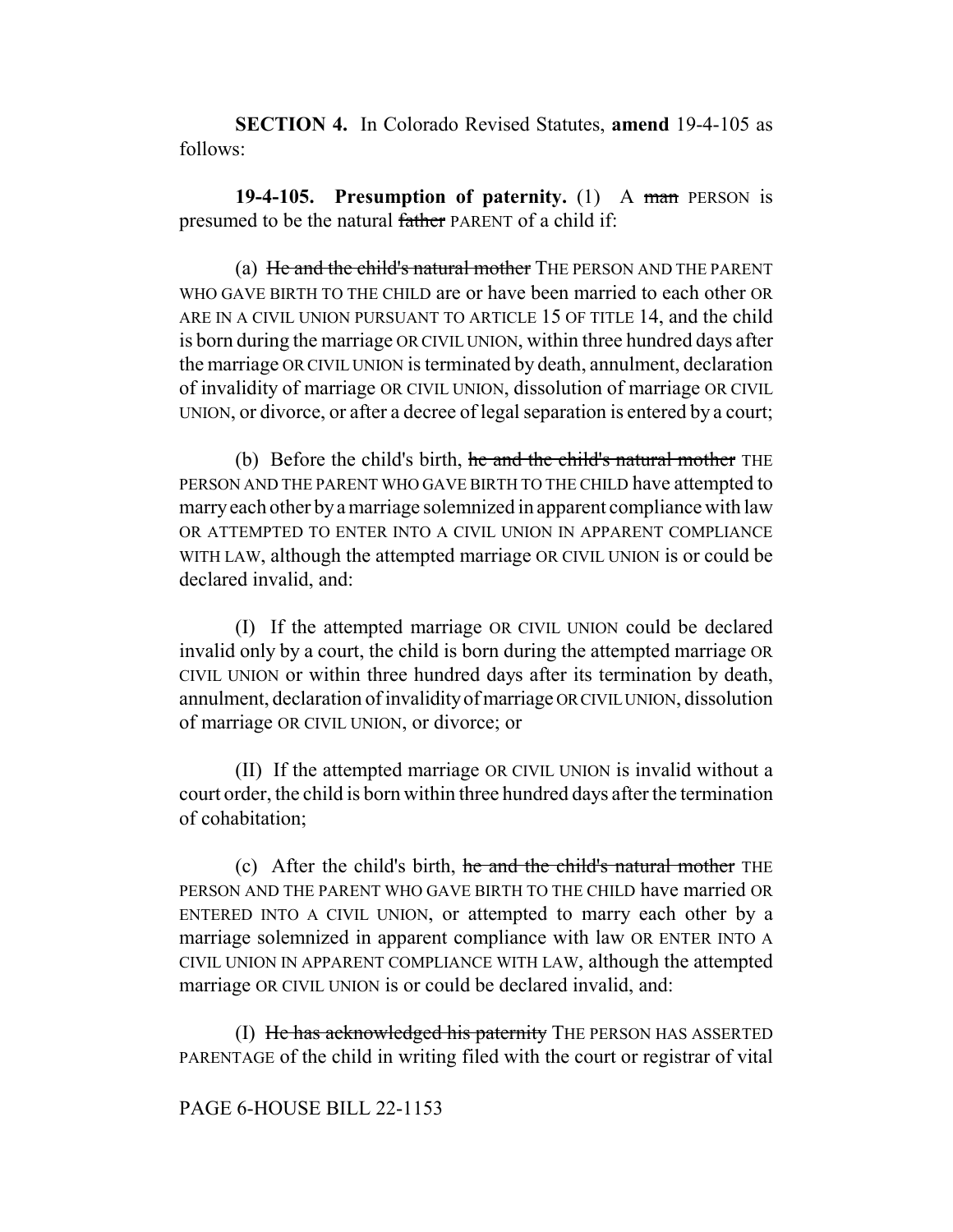**SECTION 4.** In Colorado Revised Statutes, **amend** 19-4-105 as follows:

**19-4-105. Presumption of paternity.** (1) A man PERSON is presumed to be the natural father PARENT of a child if:

(a) He and the child's natural mother THE PERSON AND THE PARENT WHO GAVE BIRTH TO THE CHILD are or have been married to each other OR ARE IN A CIVIL UNION PURSUANT TO ARTICLE 15 OF TITLE 14, and the child is born during the marriage OR CIVIL UNION, within three hundred days after the marriage OR CIVIL UNION is terminated by death, annulment, declaration of invalidity of marriage OR CIVIL UNION, dissolution of marriage OR CIVIL UNION, or divorce, or after a decree of legal separation is entered by a court;

(b) Before the child's birth, he and the child's natural mother THE PERSON AND THE PARENT WHO GAVE BIRTH TO THE CHILD have attempted to marry each other by a marriage solemnized in apparent compliance with law OR ATTEMPTED TO ENTER INTO A CIVIL UNION IN APPARENT COMPLIANCE WITH LAW, although the attempted marriage OR CIVIL UNION is or could be declared invalid, and:

(I) If the attempted marriage OR CIVIL UNION could be declared invalid only by a court, the child is born during the attempted marriage OR CIVIL UNION or within three hundred days after its termination by death, annulment, declaration of invalidity of marriage OR CIVIL UNION, dissolution of marriage OR CIVIL UNION, or divorce; or

(II) If the attempted marriage OR CIVIL UNION is invalid without a court order, the child is born within three hundred days after the termination of cohabitation;

(c) After the child's birth, he and the child's natural mother THE PERSON AND THE PARENT WHO GAVE BIRTH TO THE CHILD have married OR ENTERED INTO A CIVIL UNION, or attempted to marry each other by a marriage solemnized in apparent compliance with law OR ENTER INTO A CIVIL UNION IN APPARENT COMPLIANCE WITH LAW, although the attempted marriage OR CIVIL UNION is or could be declared invalid, and:

(I) He has acknowledged his paternity THE PERSON HAS ASSERTED PARENTAGE of the child in writing filed with the court or registrar of vital

### PAGE 6-HOUSE BILL 22-1153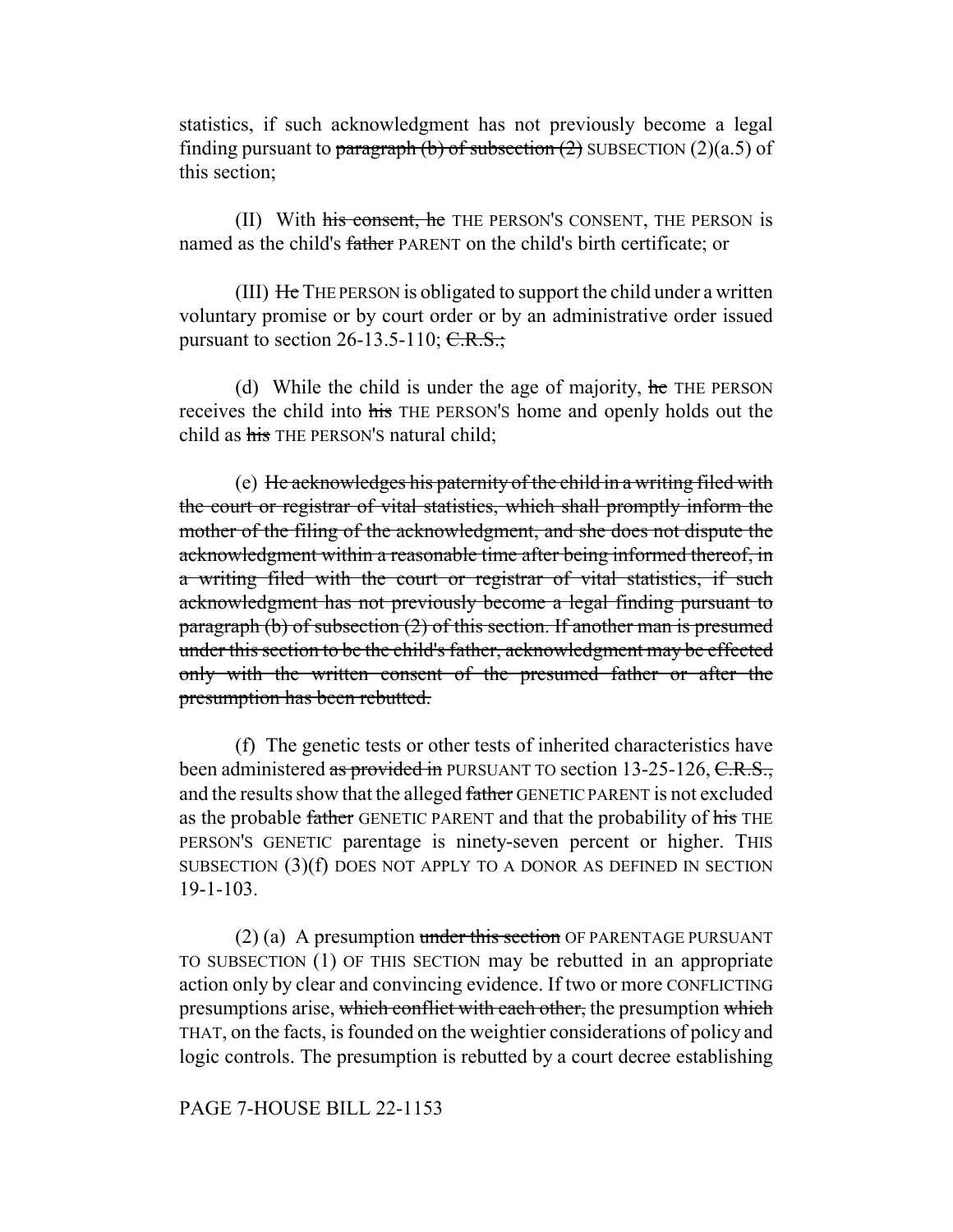statistics, if such acknowledgment has not previously become a legal finding pursuant to paragraph (b) of subsection  $(2)$  SUBSECTION  $(2)(a.5)$  of this section;

(II) With his consent, he THE PERSON'S CONSENT, THE PERSON is named as the child's father PARENT on the child's birth certificate; or

(III) He THE PERSON is obligated to support the child under a written voluntary promise or by court order or by an administrative order issued pursuant to section 26-13.5-110;  $C.R.S.,$ 

(d) While the child is under the age of majority,  $\theta$  and  $\theta$  are referenced. receives the child into his THE PERSON'S home and openly holds out the child as his THE PERSON'S natural child;

(e) He acknowledges his paternity of the child in a writing filed with the court or registrar of vital statistics, which shall promptly inform the mother of the filing of the acknowledgment, and she does not dispute the acknowledgment within a reasonable time after being informed thereof, in a writing filed with the court or registrar of vital statistics, if such acknowledgment has not previously become a legal finding pursuant to paragraph (b) of subsection (2) of this section. If another man is presumed under this section to be the child's father, acknowledgment may be effected only with the written consent of the presumed father or after the presumption has been rebutted.

(f) The genetic tests or other tests of inherited characteristics have been administered as provided in PURSUANT TO section 13-25-126, C.R.S., and the results show that the alleged father GENETIC PARENT is not excluded as the probable father GENETIC PARENT and that the probability of his THE PERSON'S GENETIC parentage is ninety-seven percent or higher. THIS SUBSECTION (3)(f) DOES NOT APPLY TO A DONOR AS DEFINED IN SECTION 19-1-103.

 $(2)$  (a) A presumption under this section OF PARENTAGE PURSUANT TO SUBSECTION (1) OF THIS SECTION may be rebutted in an appropriate action only by clear and convincing evidence. If two or more CONFLICTING presumptions arise, which conflict with each other, the presumption which THAT, on the facts, is founded on the weightier considerations of policy and logic controls. The presumption is rebutted by a court decree establishing

### PAGE 7-HOUSE BILL 22-1153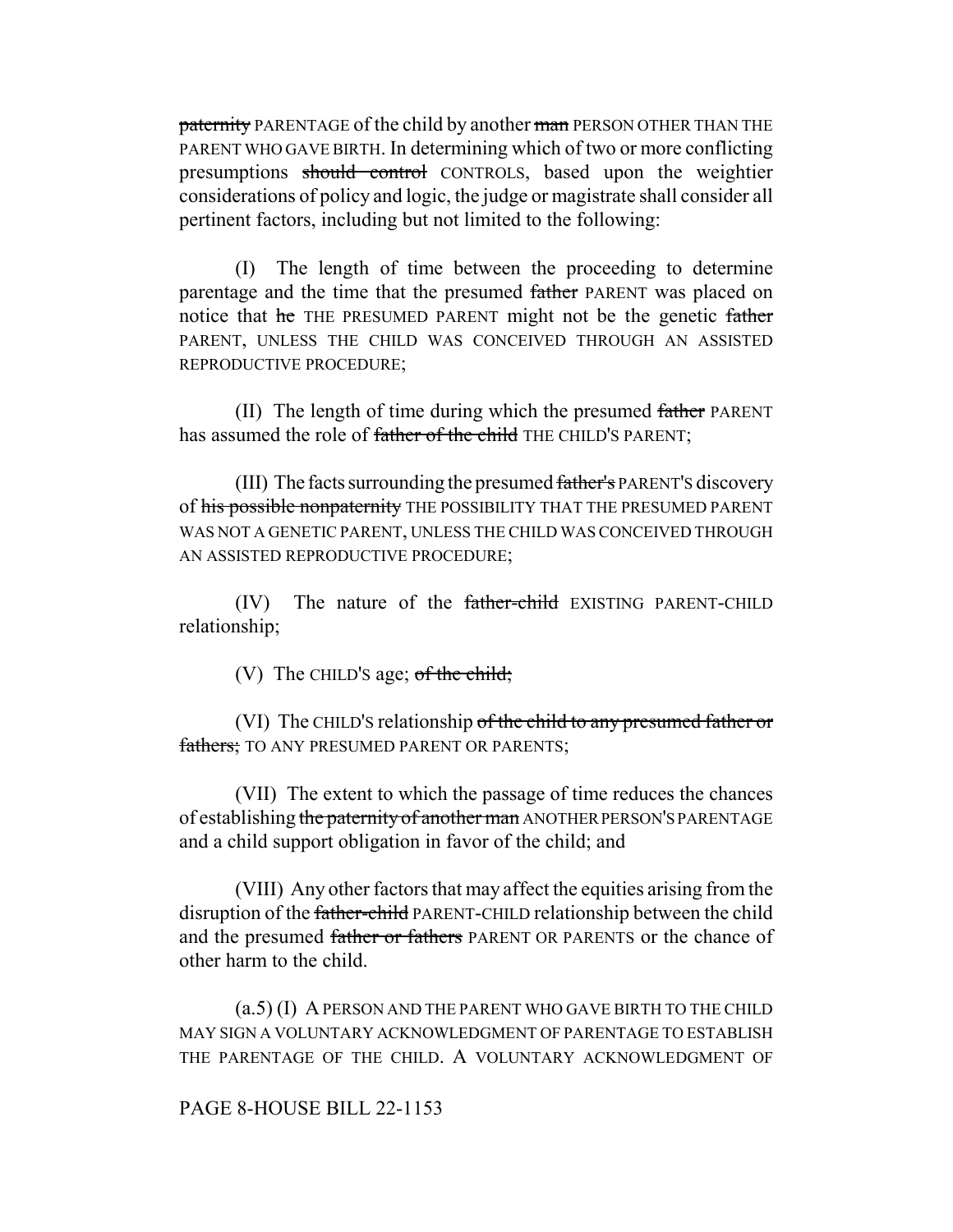paternity PARENTAGE of the child by another man PERSON OTHER THAN THE PARENT WHO GAVE BIRTH. In determining which of two or more conflicting presumptions should control CONTROLS, based upon the weightier considerations of policy and logic, the judge or magistrate shall consider all pertinent factors, including but not limited to the following:

(I) The length of time between the proceeding to determine parentage and the time that the presumed father PARENT was placed on notice that he THE PRESUMED PARENT might not be the genetic father PARENT, UNLESS THE CHILD WAS CONCEIVED THROUGH AN ASSISTED REPRODUCTIVE PROCEDURE;

(II) The length of time during which the presumed father PARENT has assumed the role of father of the child THE CHILD'S PARENT;

(III) The facts surrounding the presumed father's PARENT's discovery of his possible nonpaternity THE POSSIBILITY THAT THE PRESUMED PARENT WAS NOT A GENETIC PARENT, UNLESS THE CHILD WAS CONCEIVED THROUGH AN ASSISTED REPRODUCTIVE PROCEDURE;

(IV) The nature of the father-child EXISTING PARENT-CHILD relationship;

(V) The CHILD's age; of the child;

(VI) The CHILD'S relationship of the child to any presumed father or fathers; TO ANY PRESUMED PARENT OR PARENTS;

(VII) The extent to which the passage of time reduces the chances of establishing the paternity of another man ANOTHER PERSON'S PARENTAGE and a child support obligation in favor of the child; and

(VIII) Any other factors that may affect the equities arising from the disruption of the father-child PARENT-CHILD relationship between the child and the presumed father or fathers PARENT OR PARENTS or the chance of other harm to the child.

(a.5) (I) A PERSON AND THE PARENT WHO GAVE BIRTH TO THE CHILD MAY SIGN A VOLUNTARY ACKNOWLEDGMENT OF PARENTAGE TO ESTABLISH THE PARENTAGE OF THE CHILD. A VOLUNTARY ACKNOWLEDGMENT OF

PAGE 8-HOUSE BILL 22-1153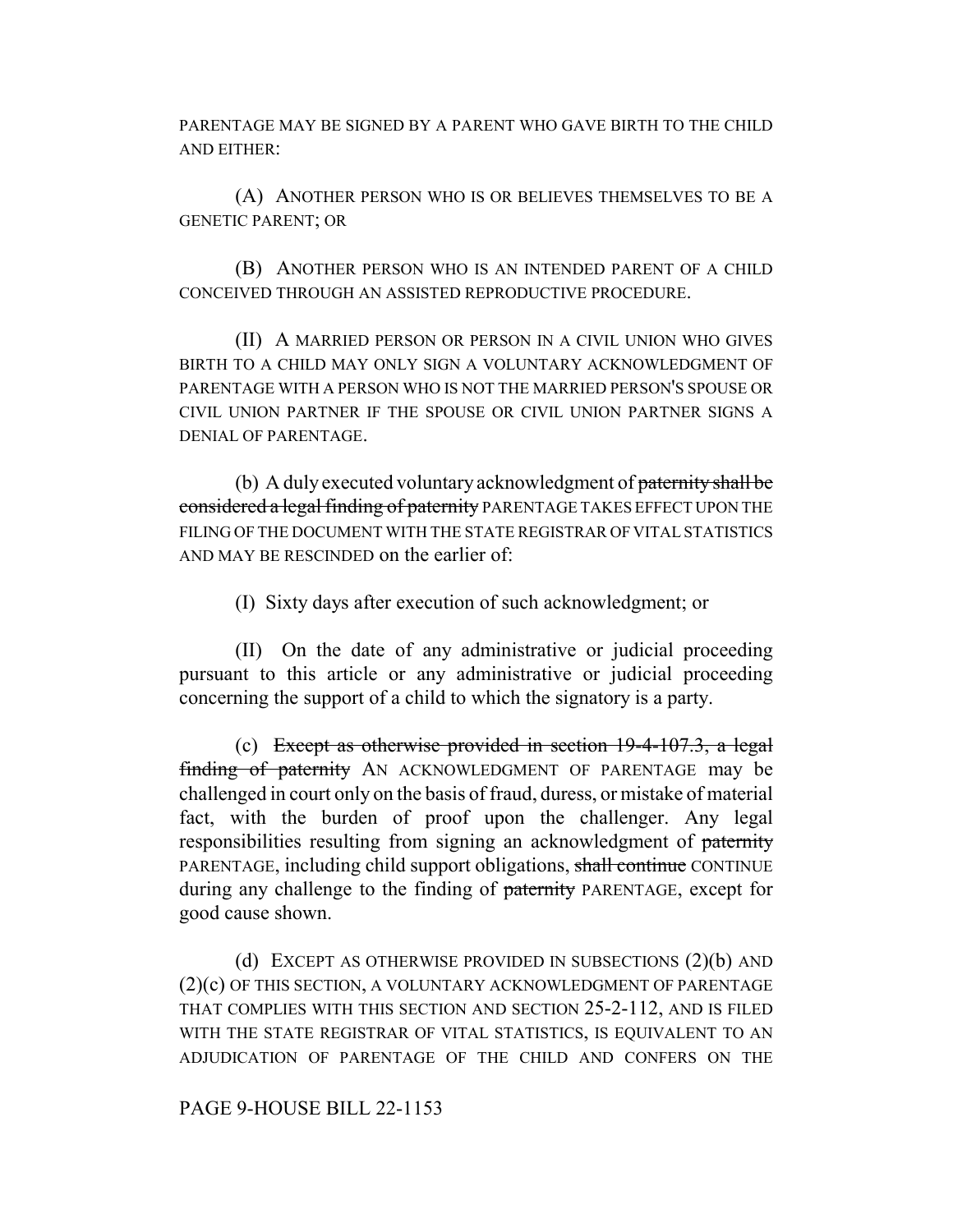PARENTAGE MAY BE SIGNED BY A PARENT WHO GAVE BIRTH TO THE CHILD AND EITHER:

(A) ANOTHER PERSON WHO IS OR BELIEVES THEMSELVES TO BE A GENETIC PARENT; OR

(B) ANOTHER PERSON WHO IS AN INTENDED PARENT OF A CHILD CONCEIVED THROUGH AN ASSISTED REPRODUCTIVE PROCEDURE.

(II) A MARRIED PERSON OR PERSON IN A CIVIL UNION WHO GIVES BIRTH TO A CHILD MAY ONLY SIGN A VOLUNTARY ACKNOWLEDGMENT OF PARENTAGE WITH A PERSON WHO IS NOT THE MARRIED PERSON'S SPOUSE OR CIVIL UNION PARTNER IF THE SPOUSE OR CIVIL UNION PARTNER SIGNS A DENIAL OF PARENTAGE.

(b) A duly executed voluntary acknowledgment of paternity shall be considered a legal finding of paternity PARENTAGE TAKES EFFECT UPON THE FILING OF THE DOCUMENT WITH THE STATE REGISTRAR OF VITAL STATISTICS AND MAY BE RESCINDED on the earlier of:

(I) Sixty days after execution of such acknowledgment; or

(II) On the date of any administrative or judicial proceeding pursuant to this article or any administrative or judicial proceeding concerning the support of a child to which the signatory is a party.

(c) Except as otherwise provided in section 19-4-107.3, a legal finding of paternity AN ACKNOWLEDGMENT OF PARENTAGE may be challenged in court only on the basis of fraud, duress, or mistake of material fact, with the burden of proof upon the challenger. Any legal responsibilities resulting from signing an acknowledgment of paternity PARENTAGE, including child support obligations, shall continue CONTINUE during any challenge to the finding of paternity PARENTAGE, except for good cause shown.

(d) EXCEPT AS OTHERWISE PROVIDED IN SUBSECTIONS (2)(b) AND (2)(c) OF THIS SECTION, A VOLUNTARY ACKNOWLEDGMENT OF PARENTAGE THAT COMPLIES WITH THIS SECTION AND SECTION 25-2-112, AND IS FILED WITH THE STATE REGISTRAR OF VITAL STATISTICS, IS EQUIVALENT TO AN ADJUDICATION OF PARENTAGE OF THE CHILD AND CONFERS ON THE

## PAGE 9-HOUSE BILL 22-1153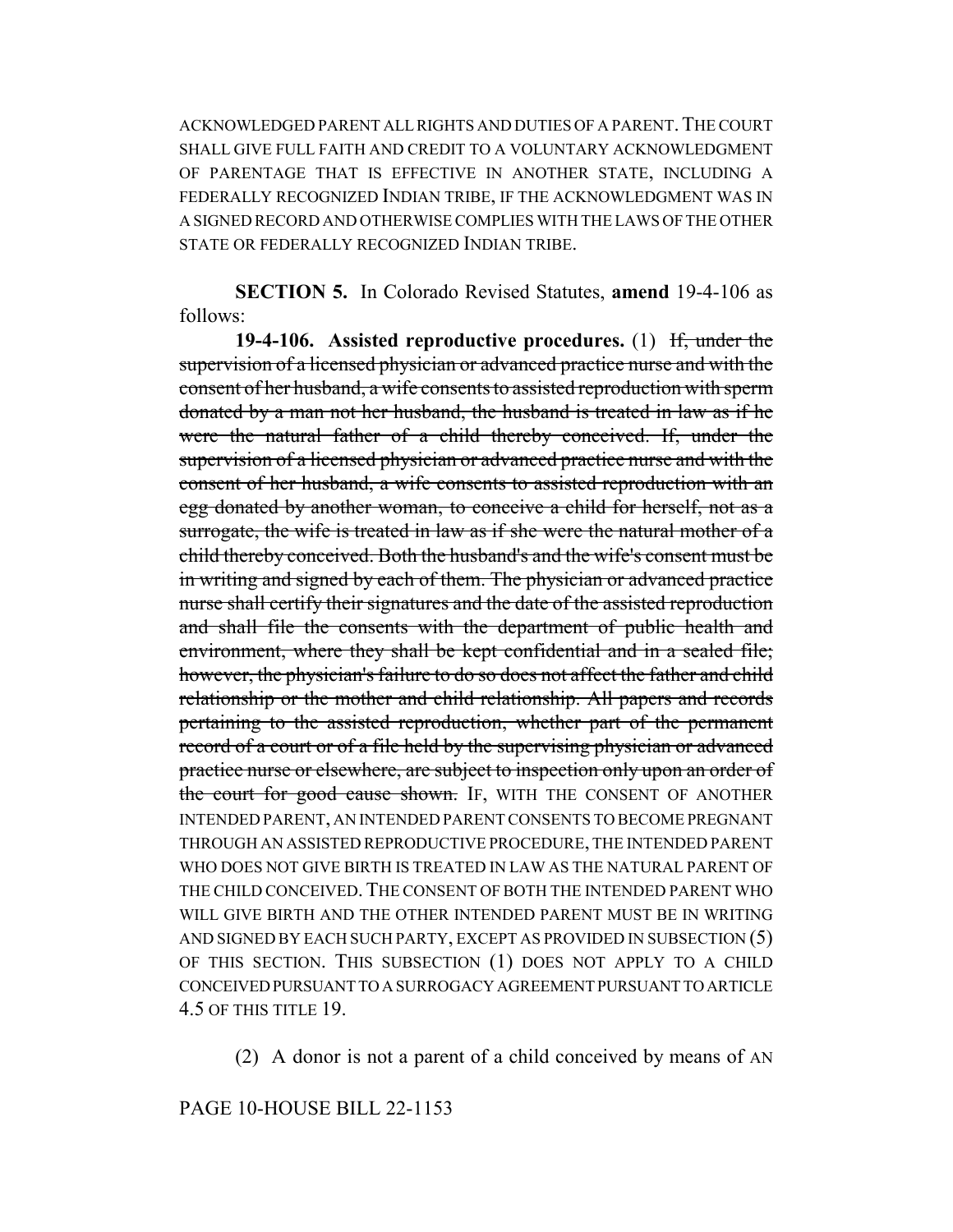ACKNOWLEDGED PARENT ALL RIGHTS AND DUTIES OF A PARENT. THE COURT SHALL GIVE FULL FAITH AND CREDIT TO A VOLUNTARY ACKNOWLEDGMENT OF PARENTAGE THAT IS EFFECTIVE IN ANOTHER STATE, INCLUDING A FEDERALLY RECOGNIZED INDIAN TRIBE, IF THE ACKNOWLEDGMENT WAS IN A SIGNED RECORD AND OTHERWISE COMPLIES WITH THE LAWS OF THE OTHER STATE OR FEDERALLY RECOGNIZED INDIAN TRIBE.

**SECTION 5.** In Colorado Revised Statutes, **amend** 19-4-106 as follows:

**19-4-106. Assisted reproductive procedures.** (1) If, under the supervision of a licensed physician or advanced practice nurse and with the consent of her husband, a wife consents to assisted reproduction with sperm donated by a man not her husband, the husband is treated in law as if he were the natural father of a child thereby conceived. If, under the supervision of a licensed physician or advanced practice nurse and with the consent of her husband, a wife consents to assisted reproduction with an egg donated by another woman, to conceive a child for herself, not as a surrogate, the wife is treated in law as if she were the natural mother of a child thereby conceived. Both the husband's and the wife's consent must be in writing and signed by each of them. The physician or advanced practice nurse shall certify their signatures and the date of the assisted reproduction and shall file the consents with the department of public health and environment, where they shall be kept confidential and in a sealed file; however, the physician's failure to do so does not affect the father and child relationship or the mother and child relationship. All papers and records pertaining to the assisted reproduction, whether part of the permanent record of a court or of a file held by the supervising physician or advanced practice nurse or elsewhere, are subject to inspection only upon an order of the court for good cause shown. IF, WITH THE CONSENT OF ANOTHER INTENDED PARENT, AN INTENDED PARENT CONSENTS TO BECOME PREGNANT THROUGH AN ASSISTED REPRODUCTIVE PROCEDURE, THE INTENDED PARENT WHO DOES NOT GIVE BIRTH IS TREATED IN LAW AS THE NATURAL PARENT OF THE CHILD CONCEIVED. THE CONSENT OF BOTH THE INTENDED PARENT WHO WILL GIVE BIRTH AND THE OTHER INTENDED PARENT MUST BE IN WRITING AND SIGNED BY EACH SUCH PARTY, EXCEPT AS PROVIDED IN SUBSECTION (5) OF THIS SECTION. THIS SUBSECTION (1) DOES NOT APPLY TO A CHILD CONCEIVED PURSUANT TO A SURROGACY AGREEMENT PURSUANT TO ARTICLE 4.5 OF THIS TITLE 19.

(2) A donor is not a parent of a child conceived by means of AN

### PAGE 10-HOUSE BILL 22-1153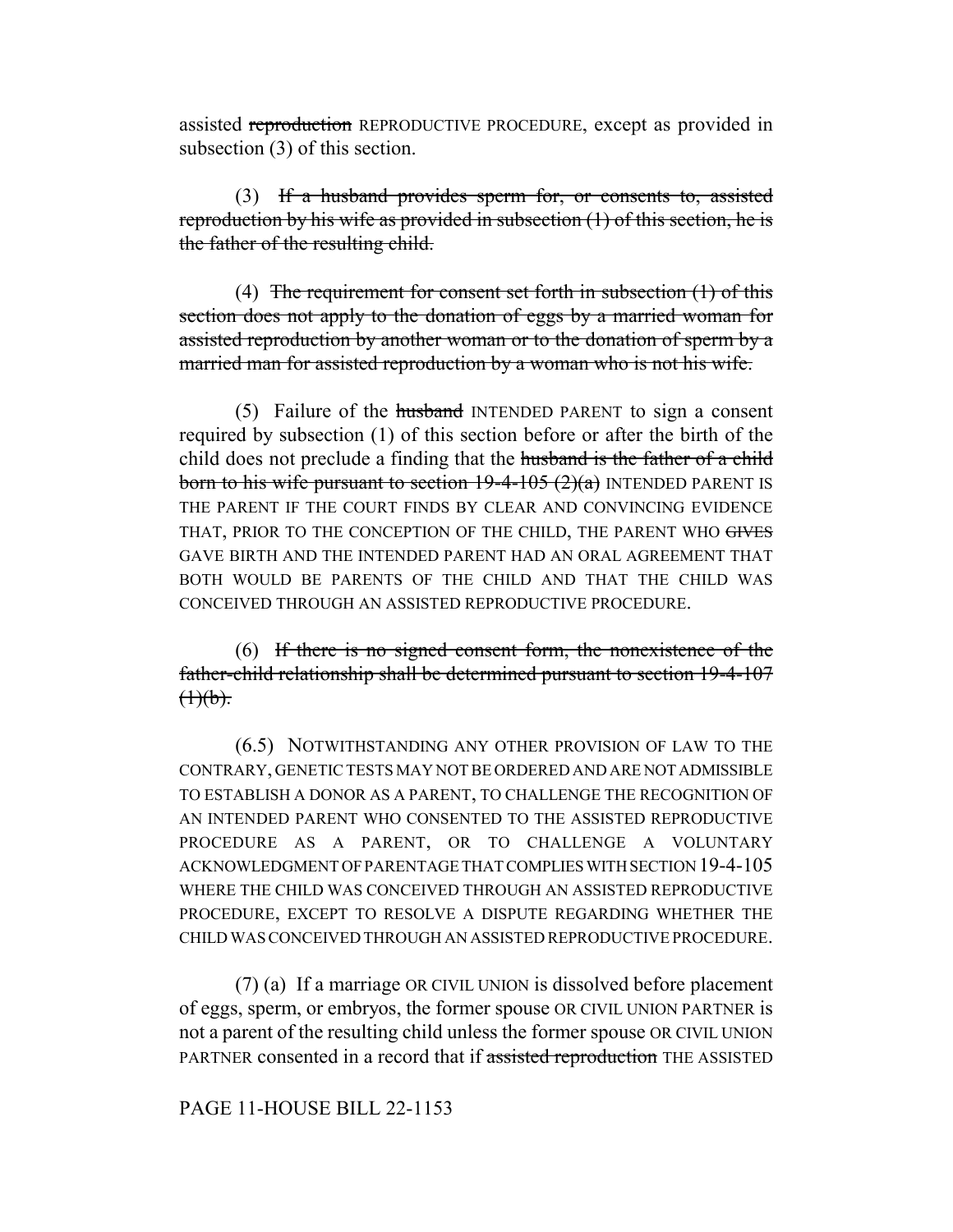assisted reproduction REPRODUCTIVE PROCEDURE, except as provided in subsection (3) of this section.

(3) If a husband provides sperm for, or consents to, assisted reproduction by his wife as provided in subsection  $(1)$  of this section, he is the father of the resulting child.

(4) The requirement for consent set forth in subsection  $(1)$  of this section does not apply to the donation of eggs by a married woman for assisted reproduction by another woman or to the donation of sperm by a married man for assisted reproduction by a woman who is not his wife.

(5) Failure of the husband INTENDED PARENT to sign a consent required by subsection (1) of this section before or after the birth of the child does not preclude a finding that the husband is the father of a child born to his wife pursuant to section  $19-4-105(2)(a)$  INTENDED PARENT IS THE PARENT IF THE COURT FINDS BY CLEAR AND CONVINCING EVIDENCE THAT, PRIOR TO THE CONCEPTION OF THE CHILD, THE PARENT WHO GIVES GAVE BIRTH AND THE INTENDED PARENT HAD AN ORAL AGREEMENT THAT BOTH WOULD BE PARENTS OF THE CHILD AND THAT THE CHILD WAS CONCEIVED THROUGH AN ASSISTED REPRODUCTIVE PROCEDURE.

(6) If there is no signed consent form, the nonexistence of the father-child relationship shall be determined pursuant to section 19-4-107  $(1)(b).$ 

(6.5) NOTWITHSTANDING ANY OTHER PROVISION OF LAW TO THE CONTRARY, GENETIC TESTS MAY NOT BE ORDERED AND ARE NOT ADMISSIBLE TO ESTABLISH A DONOR AS A PARENT, TO CHALLENGE THE RECOGNITION OF AN INTENDED PARENT WHO CONSENTED TO THE ASSISTED REPRODUCTIVE PROCEDURE AS A PARENT, OR TO CHALLENGE A VOLUNTARY ACKNOWLEDGMENT OF PARENTAGE THAT COMPLIES WITH SECTION 19-4-105 WHERE THE CHILD WAS CONCEIVED THROUGH AN ASSISTED REPRODUCTIVE PROCEDURE, EXCEPT TO RESOLVE A DISPUTE REGARDING WHETHER THE CHILD WAS CONCEIVED THROUGH AN ASSISTED REPRODUCTIVE PROCEDURE.

(7) (a) If a marriage OR CIVIL UNION is dissolved before placement of eggs, sperm, or embryos, the former spouse OR CIVIL UNION PARTNER is not a parent of the resulting child unless the former spouse OR CIVIL UNION PARTNER consented in a record that if assisted reproduction THE ASSISTED

## PAGE 11-HOUSE BILL 22-1153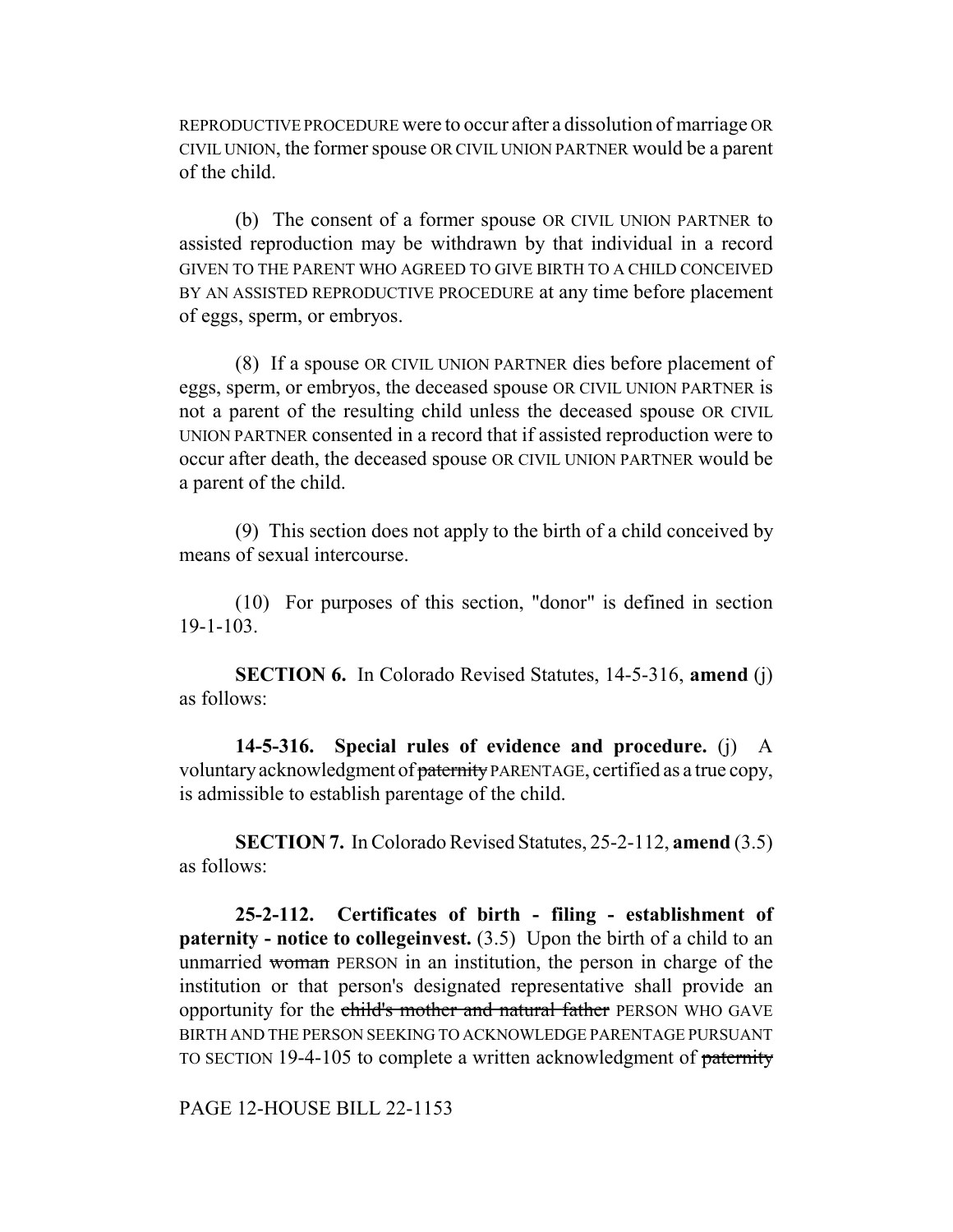REPRODUCTIVE PROCEDURE were to occur after a dissolution of marriage OR CIVIL UNION, the former spouse OR CIVIL UNION PARTNER would be a parent of the child.

(b) The consent of a former spouse OR CIVIL UNION PARTNER to assisted reproduction may be withdrawn by that individual in a record GIVEN TO THE PARENT WHO AGREED TO GIVE BIRTH TO A CHILD CONCEIVED BY AN ASSISTED REPRODUCTIVE PROCEDURE at any time before placement of eggs, sperm, or embryos.

(8) If a spouse OR CIVIL UNION PARTNER dies before placement of eggs, sperm, or embryos, the deceased spouse OR CIVIL UNION PARTNER is not a parent of the resulting child unless the deceased spouse OR CIVIL UNION PARTNER consented in a record that if assisted reproduction were to occur after death, the deceased spouse OR CIVIL UNION PARTNER would be a parent of the child.

(9) This section does not apply to the birth of a child conceived by means of sexual intercourse.

(10) For purposes of this section, "donor" is defined in section 19-1-103.

**SECTION 6.** In Colorado Revised Statutes, 14-5-316, **amend** (j) as follows:

**14-5-316. Special rules of evidence and procedure.** (j) A voluntary acknowledgment of paternity PARENTAGE, certified as a true copy, is admissible to establish parentage of the child.

**SECTION 7.** In Colorado Revised Statutes, 25-2-112, **amend** (3.5) as follows:

**25-2-112. Certificates of birth - filing - establishment of paternity - notice to collegeinvest.** (3.5) Upon the birth of a child to an unmarried woman PERSON in an institution, the person in charge of the institution or that person's designated representative shall provide an opportunity for the child's mother and natural father PERSON WHO GAVE BIRTH AND THE PERSON SEEKING TO ACKNOWLEDGE PARENTAGE PURSUANT TO SECTION 19-4-105 to complete a written acknowledgment of paternity

PAGE 12-HOUSE BILL 22-1153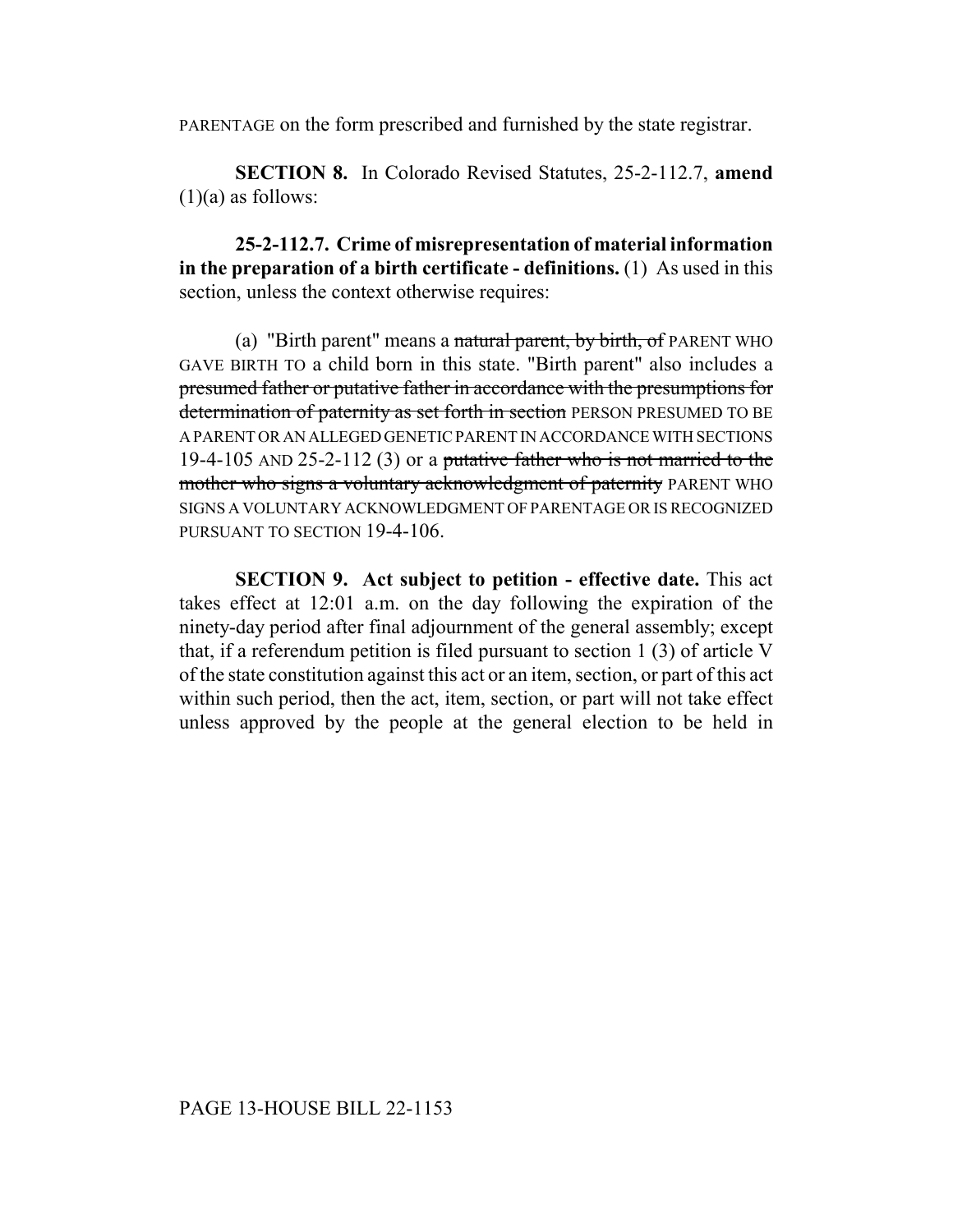PARENTAGE on the form prescribed and furnished by the state registrar.

**SECTION 8.** In Colorado Revised Statutes, 25-2-112.7, **amend**  $(1)(a)$  as follows:

**25-2-112.7. Crime of misrepresentation of material information in the preparation of a birth certificate - definitions.** (1) As used in this section, unless the context otherwise requires:

(a) "Birth parent" means a natural parent, by birth, of PARENT WHO GAVE BIRTH TO a child born in this state. "Birth parent" also includes a presumed father or putative father in accordance with the presumptions for determination of paternity as set forth in section PERSON PRESUMED TO BE A PARENT OR AN ALLEGED GENETIC PARENT IN ACCORDANCE WITH SECTIONS 19-4-105 AND 25-2-112 (3) or a putative father who is not married to the mother who signs a voluntary acknowledgment of paternity PARENT WHO SIGNS A VOLUNTARY ACKNOWLEDGMENT OF PARENTAGE OR IS RECOGNIZED PURSUANT TO SECTION 19-4-106.

**SECTION 9. Act subject to petition - effective date.** This act takes effect at 12:01 a.m. on the day following the expiration of the ninety-day period after final adjournment of the general assembly; except that, if a referendum petition is filed pursuant to section 1 (3) of article V of the state constitution against this act or an item, section, or part of this act within such period, then the act, item, section, or part will not take effect unless approved by the people at the general election to be held in